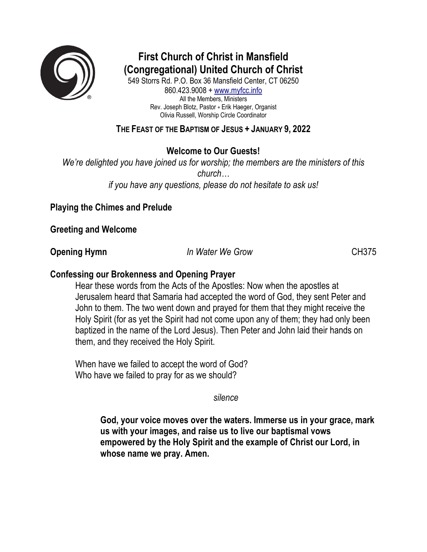

# **First Church of Christ in Mansfield (Congregational) United Church of Christ**

549 Storrs Rd. P.O. Box 36 Mansfield Center, CT 06250 860.423.9008 + www.myfcc.info All the Members, Ministers Rev. Joseph Blotz, Pastor + Erik Haeger, Organist Olivia Russell, Worship Circle Coordinator

### **THE FEAST OF THE BAPTISM OF JESUS + JANUARY 9, 2022**

## **Welcome to Our Guests!**

*We're delighted you have joined us for worship; the members are the ministers of this church… if you have any questions, please do not hesitate to ask us!*

## **Playing the Chimes and Prelude**

**Greeting and Welcome**

**Opening Hymn** *In Water We Grow* **CH375** 

### **Confessing our Brokenness and Opening Prayer**

Hear these words from the Acts of the Apostles: Now when the apostles at Jerusalem heard that Samaria had accepted the word of God, they sent Peter and John to them. The two went down and prayed for them that they might receive the Holy Spirit (for as yet the Spirit had not come upon any of them; they had only been baptized in the name of the Lord Jesus). Then Peter and John laid their hands on them, and they received the Holy Spirit.

When have we failed to accept the word of God? Who have we failed to pray for as we should?

*silence*

**God, your voice moves over the waters. Immerse us in your grace, mark us with your images, and raise us to live our baptismal vows empowered by the Holy Spirit and the example of Christ our Lord, in whose name we pray. Amen.**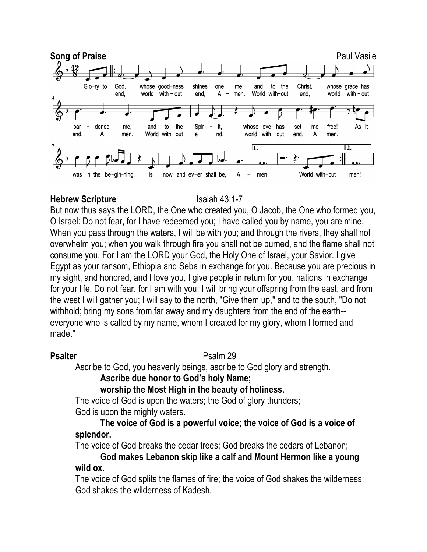

#### **Hebrew Scripture** Isaiah 43:1-7

But now thus says the LORD, the One who created you, O Jacob, the One who formed you, O Israel: Do not fear, for I have redeemed you; I have called you by name, you are mine. When you pass through the waters, I will be with you; and through the rivers, they shall not overwhelm you; when you walk through fire you shall not be burned, and the flame shall not consume you. For I am the LORD your God, the Holy One of Israel, your Savior. I give Egypt as your ransom, Ethiopia and Seba in exchange for you. Because you are precious in my sight, and honored, and I love you, I give people in return for you, nations in exchange for your life. Do not fear, for I am with you; I will bring your offspring from the east, and from the west I will gather you; I will say to the north, "Give them up," and to the south, "Do not withhold; bring my sons from far away and my daughters from the end of the earth-everyone who is called by my name, whom I created for my glory, whom I formed and made."

**Psalter** Psalm 29

Ascribe to God, you heavenly beings, ascribe to God glory and strength.

**Ascribe due honor to God's holy Name;** 

**worship the Most High in the beauty of holiness.**

The voice of God is upon the waters; the God of glory thunders; God is upon the mighty waters.

**The voice of God is a powerful voice; the voice of God is a voice of splendor.**

The voice of God breaks the cedar trees; God breaks the cedars of Lebanon;

**God makes Lebanon skip like a calf and Mount Hermon like a young wild ox.**

The voice of God splits the flames of fire; the voice of God shakes the wilderness; God shakes the wilderness of Kadesh.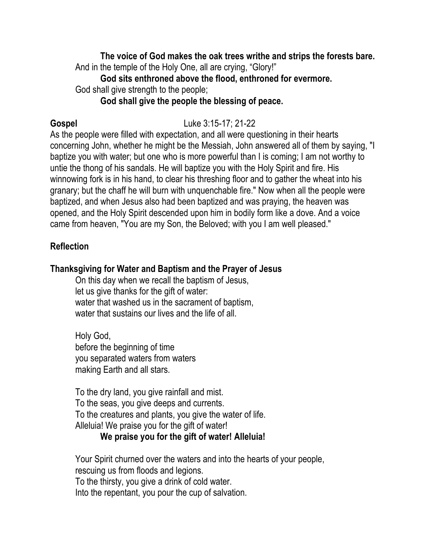**The voice of God makes the oak trees writhe and strips the forests bare.** And in the temple of the Holy One, all are crying, "Glory!" **God sits enthroned above the flood, enthroned for evermore.**

God shall give strength to the people;

**God shall give the people the blessing of peace.**

## **Gospel** Luke 3:15-17; 21-22

As the people were filled with expectation, and all were questioning in their hearts concerning John, whether he might be the Messiah, John answered all of them by saying, "I baptize you with water; but one who is more powerful than I is coming; I am not worthy to untie the thong of his sandals. He will baptize you with the Holy Spirit and fire. His winnowing fork is in his hand, to clear his threshing floor and to gather the wheat into his granary; but the chaff he will burn with unquenchable fire." Now when all the people were baptized, and when Jesus also had been baptized and was praying, the heaven was opened, and the Holy Spirit descended upon him in bodily form like a dove. And a voice came from heaven, "You are my Son, the Beloved; with you I am well pleased."

## **Reflection**

## **Thanksgiving for Water and Baptism and the Prayer of Jesus**

On this day when we recall the baptism of Jesus, let us give thanks for the gift of water: water that washed us in the sacrament of baptism, water that sustains our lives and the life of all.

Holy God, before the beginning of time you separated waters from waters making Earth and all stars.

To the dry land, you give rainfall and mist. To the seas, you give deeps and currents. To the creatures and plants, you give the water of life. Alleluia! We praise you for the gift of water!

## **We praise you for the gift of water! Alleluia!**

Your Spirit churned over the waters and into the hearts of your people, rescuing us from floods and legions. To the thirsty, you give a drink of cold water. Into the repentant, you pour the cup of salvation.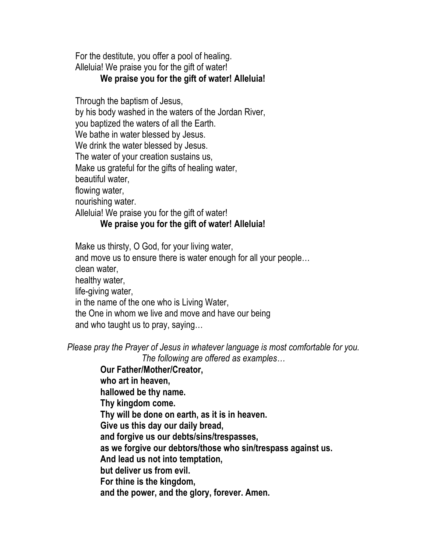For the destitute, you offer a pool of healing. Alleluia! We praise you for the gift of water! **We praise you for the gift of water! Alleluia!**

Through the baptism of Jesus, by his body washed in the waters of the Jordan River, you baptized the waters of all the Earth. We bathe in water blessed by Jesus. We drink the water blessed by Jesus. The water of your creation sustains us, Make us grateful for the gifts of healing water, beautiful water, flowing water, nourishing water. Alleluia! We praise you for the gift of water!

#### **We praise you for the gift of water! Alleluia!**

Make us thirsty, O God, for your living water, and move us to ensure there is water enough for all your people… clean water, healthy water, life-giving water, in the name of the one who is Living Water, the One in whom we live and move and have our being and who taught us to pray, saying…

*Please pray the Prayer of Jesus in whatever language is most comfortable for you. The following are offered as examples…*

> **Our Father/Mother/Creator, who art in heaven, hallowed be thy name. Thy kingdom come. Thy will be done on earth, as it is in heaven. Give us this day our daily bread, and forgive us our debts/sins/trespasses, as we forgive our debtors/those who sin/trespass against us. And lead us not into temptation, but deliver us from evil. For thine is the kingdom, and the power, and the glory, forever. Amen.**